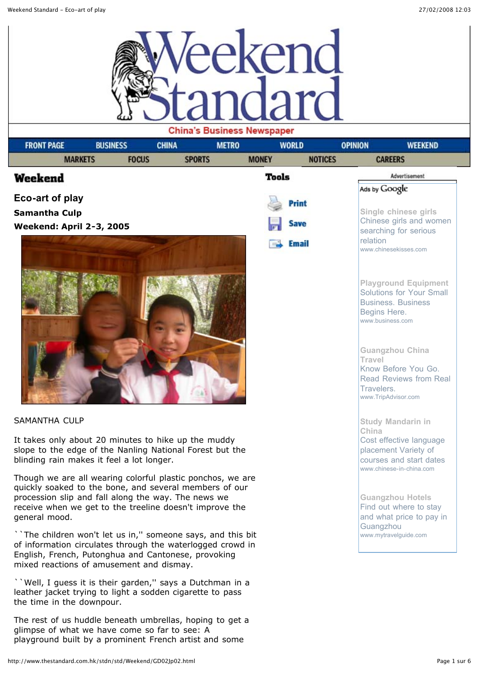

| <b>FRONT PAGE</b>                         | <b>BUSINESS</b> | <b>METRO</b><br><b>CHINA</b>                                                                                                                                                                                                           | $\sim$ passivess received and | <b>WORLD</b>   | <b>OPINION</b>                       | <b>WEEKEND</b>                                                                                                                                                                                                    |  |  |
|-------------------------------------------|-----------------|----------------------------------------------------------------------------------------------------------------------------------------------------------------------------------------------------------------------------------------|-------------------------------|----------------|--------------------------------------|-------------------------------------------------------------------------------------------------------------------------------------------------------------------------------------------------------------------|--|--|
| <b>MARKETS</b>                            | <b>FOCUS</b>    | <b>SPORTS</b>                                                                                                                                                                                                                          | <b>MONEY</b>                  | <b>NOTICES</b> |                                      | <b>CAREERS</b>                                                                                                                                                                                                    |  |  |
| Weekend                                   |                 |                                                                                                                                                                                                                                        | Tools                         |                |                                      | Advertisement                                                                                                                                                                                                     |  |  |
| Eco-art of play                           |                 |                                                                                                                                                                                                                                        |                               |                | Ads by Google                        |                                                                                                                                                                                                                   |  |  |
| <b>Samantha Culp</b>                      |                 |                                                                                                                                                                                                                                        |                               | Print          |                                      | Single chinese girls                                                                                                                                                                                              |  |  |
| <b>Weekend: April 2-3, 2005</b>           |                 |                                                                                                                                                                                                                                        |                               | <b>Save</b>    |                                      | Chinese girls and women<br>searching for serious                                                                                                                                                                  |  |  |
|                                           |                 |                                                                                                                                                                                                                                        |                               | Email          | relation                             | www.chinesekisses.com                                                                                                                                                                                             |  |  |
|                                           |                 |                                                                                                                                                                                                                                        |                               |                | Begins Here.<br>Travel<br>Travelers. | <b>Playground Equipment</b><br>Solutions for Your Small<br><b>Business. Business</b><br>www.business.com<br><b>Guangzhou China</b><br>Know Before You Go.<br><b>Read Reviews from Real</b><br>www.TripAdvisor.com |  |  |
| <b>SAMANTHA CULP</b>                      |                 |                                                                                                                                                                                                                                        |                               |                |                                      | <b>Study Mandarin in</b>                                                                                                                                                                                          |  |  |
| blinding rain makes it feel a lot longer. |                 | It takes only about 20 minutes to hike up the muddy<br>slope to the edge of the Nanling National Forest but the                                                                                                                        |                               |                | China                                | Cost effective language<br>placement Variety of<br>courses and start dates                                                                                                                                        |  |  |
| general mood.                             |                 | Though we are all wearing colorful plastic ponchos, we are<br>quickly soaked to the bone, and several members of our<br>procession slip and fall along the way. The news we<br>receive when we get to the treeline doesn't improve the |                               |                |                                      | www.chinese-in-china.com<br><b>Guangzhou Hotels</b><br>Find out where to stay<br>and what price to pay in                                                                                                         |  |  |
| mixed reactions of amusement and dismay.  |                 | The children won't let us in," someone says, and this bit<br>of information circulates through the waterlogged crowd in<br>English, French, Putonghua and Cantonese, provoking                                                         |                               |                | Guangzhou                            | www.mytravelguide.com                                                                                                                                                                                             |  |  |
| the time in the downpour.                 |                 | "Well, I guess it is their garden," says a Dutchman in a<br>leather jacket trying to light a sodden cigarette to pass                                                                                                                  |                               |                |                                      |                                                                                                                                                                                                                   |  |  |

The rest of us huddle beneath umbrellas, hoping to get a glimpse of what we have come so far to see: A playground built by a prominent French artist and some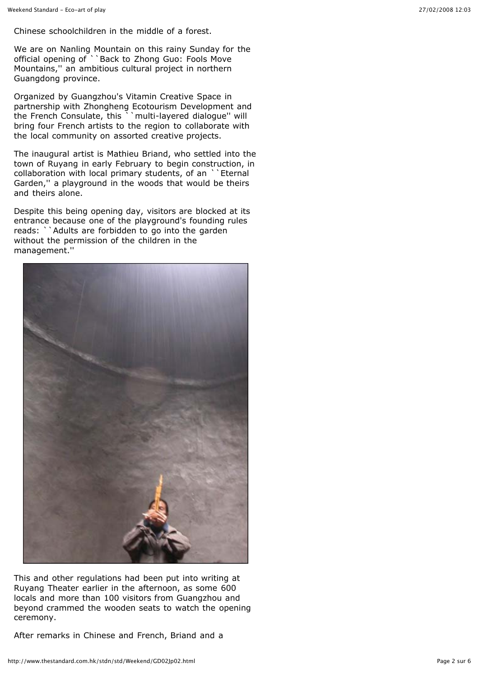Chinese schoolchildren in the middle of a forest.

We are on Nanling Mountain on this rainy Sunday for the official opening of ``Back to Zhong Guo: Fools Move Mountains,'' an ambitious cultural project in northern Guangdong province.

Organized by Guangzhou's Vitamin Creative Space in partnership with Zhongheng Ecotourism Development and the French Consulate, this ``multi-layered dialogue'' will bring four French artists to the region to collaborate with the local community on assorted creative projects.

The inaugural artist is Mathieu Briand, who settled into the town of Ruyang in early February to begin construction, in collaboration with local primary students, of an ``Eternal Garden,'' a playground in the woods that would be theirs and theirs alone.

Despite this being opening day, visitors are blocked at its entrance because one of the playground's founding rules reads: ``Adults are forbidden to go into the garden without the permission of the children in the management.''



This and other regulations had been put into writing at Ruyang Theater earlier in the afternoon, as some 600 locals and more than 100 visitors from Guangzhou and beyond crammed the wooden seats to watch the opening ceremony.

After remarks in Chinese and French, Briand and a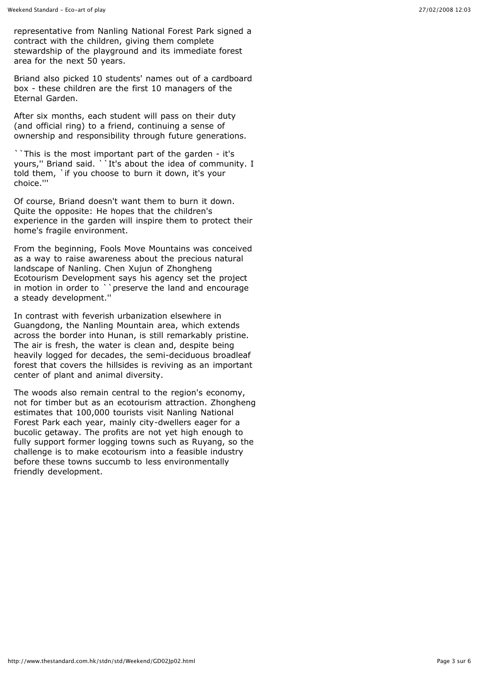representative from Nanling National Forest Park signed a contract with the children, giving them complete stewardship of the playground and its immediate forest area for the next 50 years.

Briand also picked 10 students' names out of a cardboard box - these children are the first 10 managers of the Eternal Garden.

After six months, each student will pass on their duty (and official ring) to a friend, continuing a sense of ownership and responsibility through future generations.

``This is the most important part of the garden - it's yours,'' Briand said. ``It's about the idea of community. I told them, `if you choose to burn it down, it's your choice.'''

Of course, Briand doesn't want them to burn it down. Quite the opposite: He hopes that the children's experience in the garden will inspire them to protect their home's fragile environment.

From the beginning, Fools Move Mountains was conceived as a way to raise awareness about the precious natural landscape of Nanling. Chen Xujun of Zhongheng Ecotourism Development says his agency set the project in motion in order to ``preserve the land and encourage a steady development.''

In contrast with feverish urbanization elsewhere in Guangdong, the Nanling Mountain area, which extends across the border into Hunan, is still remarkably pristine. The air is fresh, the water is clean and, despite being heavily logged for decades, the semi-deciduous broadleaf forest that covers the hillsides is reviving as an important center of plant and animal diversity.

The woods also remain central to the region's economy, not for timber but as an ecotourism attraction. Zhongheng estimates that 100,000 tourists visit Nanling National Forest Park each year, mainly city-dwellers eager for a bucolic getaway. The profits are not yet high enough to fully support former logging towns such as Ruyang, so the challenge is to make ecotourism into a feasible industry before these towns succumb to less environmentally friendly development.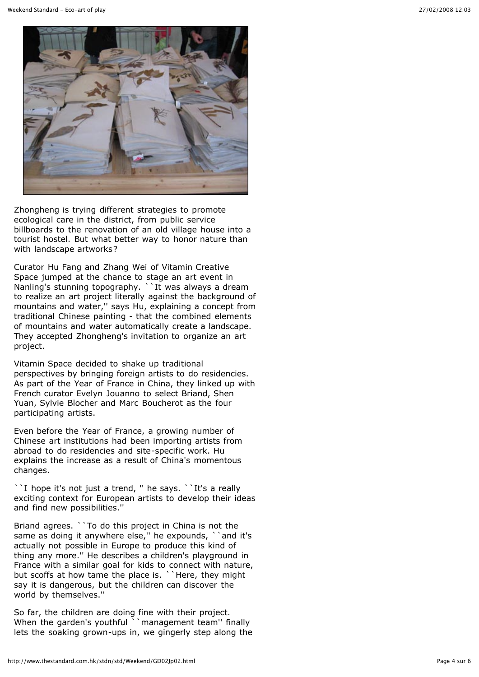

Zhongheng is trying different strategies to promote ecological care in the district, from public service billboards to the renovation of an old village house into a tourist hostel. But what better way to honor nature than with landscape artworks?

Curator Hu Fang and Zhang Wei of Vitamin Creative Space jumped at the chance to stage an art event in Nanling's stunning topography. ``It was always a dream to realize an art project literally against the background of mountains and water,'' says Hu, explaining a concept from traditional Chinese painting - that the combined elements of mountains and water automatically create a landscape. They accepted Zhongheng's invitation to organize an art project.

Vitamin Space decided to shake up traditional perspectives by bringing foreign artists to do residencies. As part of the Year of France in China, they linked up with French curator Evelyn Jouanno to select Briand, Shen Yuan, Sylvie Blocher and Marc Boucherot as the four participating artists.

Even before the Year of France, a growing number of Chinese art institutions had been importing artists from abroad to do residencies and site-specific work. Hu explains the increase as a result of China's momentous changes.

``I hope it's not just a trend, " he says. ``It's a really exciting context for European artists to develop their ideas and find new possibilities.''

Briand agrees. ``To do this project in China is not the same as doing it anywhere else," he expounds, "and it's actually not possible in Europe to produce this kind of thing any more.'' He describes a children's playground in France with a similar goal for kids to connect with nature, but scoffs at how tame the place is. ``Here, they might say it is dangerous, but the children can discover the world by themselves.''

So far, the children are doing fine with their project. When the garden's youthful ``management team'' finally lets the soaking grown-ups in, we gingerly step along the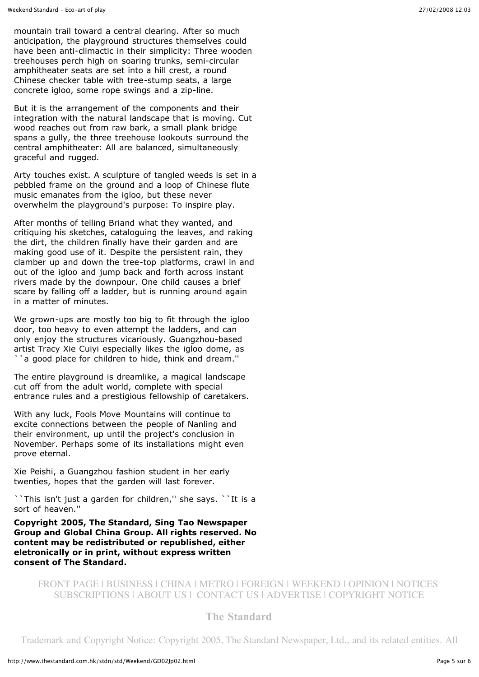mountain trail toward a central clearing. After so much anticipation, the playground structures themselves could have been anti-climactic in their simplicity: Three wooden treehouses perch high on soaring trunks, semi-circular amphitheater seats are set into a hill crest, a round Chinese checker table with tree-stump seats, a large concrete igloo, some rope swings and a zip-line.

But it is the arrangement of the components and their integration with the natural landscape that is moving. Cut wood reaches out from raw bark, a small plank bridge spans a gully, the three treehouse lookouts surround the central amphitheater: All are balanced, simultaneously graceful and rugged.

Arty touches exist. A sculpture of tangled weeds is set in a pebbled frame on the ground and a loop of Chinese flute music emanates from the igloo, but these never overwhelm the playground's purpose: To inspire play.

After months of telling Briand what they wanted, and critiquing his sketches, cataloguing the leaves, and raking the dirt, the children finally have their garden and are making good use of it. Despite the persistent rain, they clamber up and down the tree-top platforms, crawl in and out of the igloo and jump back and forth across instant rivers made by the downpour. One child causes a brief scare by falling off a ladder, but is running around again in a matter of minutes.

We grown-ups are mostly too big to fit through the igloo door, too heavy to even attempt the ladders, and can only enjoy the structures vicariously. Guangzhou-based artist Tracy Xie Cuiyi especially likes the igloo dome, as a good place for children to hide, think and dream."

The entire playground is dreamlike, a magical landscape cut off from the adult world, complete with special entrance rules and a prestigious fellowship of caretakers.

With any luck, Fools Move Mountains will continue to excite connections between the people of Nanling and their environment, up until the project's conclusion in November. Perhaps some of its installations might even prove eternal.

Xie Peishi, a Guangzhou fashion student in her early twenties, hopes that the garden will last forever.

``This isn't just a garden for children,'' she says. ``It is a sort of heaven."

**Copyright 2005, The Standard, Sing Tao Newspaper Group and Global China Group. All rights reserved. No content may be redistributed or republished, either eletronically or in print, without express written consent of The Standard.**

## FRONT PAGE | BUSINESS | CHINA | METRO | FOREIGN | WEEKEND | OPINION | NOTICES SUBSCRIPTIONS | ABOUT US | CONTACT US | ADVERTISE | COPYRIGHT NOTICE

## **The Standard**

Trademark and Copyright Notice: Copyright 2005, The Standard Newspaper, Ltd., and its related entities. All